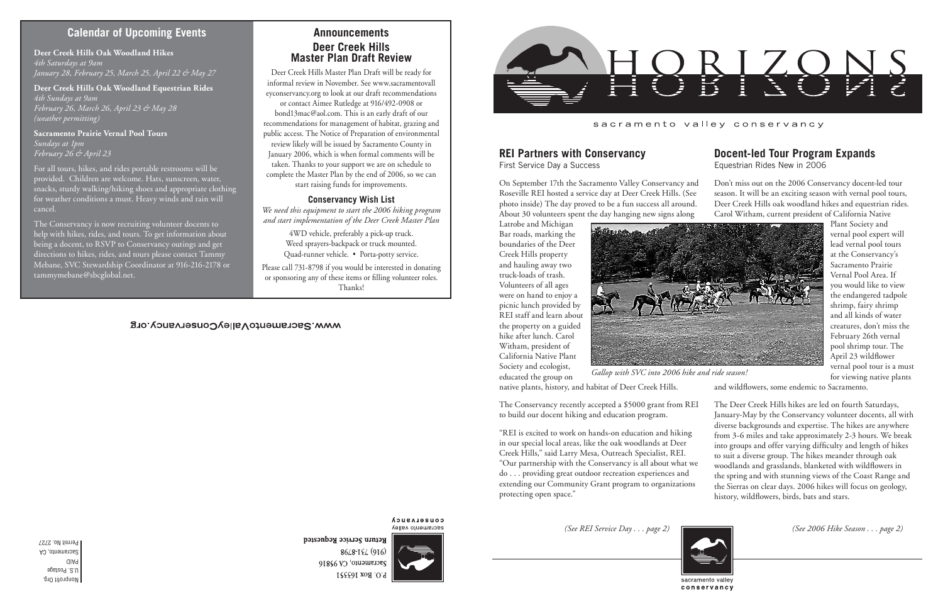Nonprofit Org. U.S. Postage PAID Sacramento, CA Permit No. 2727

#### sacramento valley conservancy

*(See 2006 Hike Season . . . page 2)*

*Gallop with SVC into 2006 hike and ride season!*

# **Calendar of Upcoming Events**

*(See REI Service Day . . . page 2)*



**COUSELASUCA** sacramento valley

Return Service Requested 8648-194 (916) Sacramento, CA 95816 P.O. Box 163551

## **Announcements Deer Creek Hills Master Plan Draft Review**

Deer Creek Hills Master Plan Draft will be ready for informal review in November. See www.sacramentovall eyconservancy.org to look at our draft recommendations or contact Aimee Rutledge at 916/492-0908 or bond13mac@aol.com. This is an early draft of our recommendations for management of habitat, grazing and public access. The Notice of Preparation of environmental review likely will be issued by Sacramento County in January 2006, which is when formal comments will be taken. Thanks to your support we are on schedule to complete the Master Plan by the end of 2006, so we can start raising funds for improvements.

#### **Conservancy Wish List**

*We need this equipment to start the 2006 hiking program and start implementation of the Deer Creek Master Plan*

> The Conservancy recently accepted a \$5000 grant from REI to build our docent hiking and education program. "REI is excited to work on hands-on education and hiking in our special local areas, like the oak woodlands at Deer Creek Hills," said Larry Mesa, Outreach Specialist, REI. "Our partnership with the Conservancy is all about what we do . . . providing great outdoor recreation experiences and extending our Community Grant program to organizations protecting open space." The Deer Creek Hills hikes are led on fourth Saturdays, January-May by the Conservancy volunteer docents, all with diverse backgrounds and expertise. The hikes are anywhere from 3-6 miles and take approximately 2-3 hours. We break into groups and offer varying difficulty and length of hikes to suit a diverse group. The hikes meander through oak woodlands and grasslands, blanketed with wildflowers in the spring and with stunning views of the Coast Range and the Sierras on clear days. 2006 hikes will focus on geology, history, wildflowers, birds, bats and stars.

4WD vehicle, preferably a pick-up truck. Weed sprayers-backpack or truck mounted. Quad-runner vehicle. • Porta-potty service.

Please call 731-8798 if you would be interested in donating or sponsoring any of these items or filling volunteer roles. Thanks!

#### WWW.SacramentoValleyConservancy.org



## **REI Partners with Conservancy**

First Service Day a Success

Latrobe and Michigan Bar roads, marking the boundaries of the Deer Creek Hills property and hauling away two truck-loads of trash. Volunteers of all ages were on hand to enjoy a picnic lunch provided by REI staff and learn about the property on a guided hike after lunch. Carol Witham, president of California Native Plant Society and ecologist, educated the group on



native plants, history, and habitat of Deer Creek Hills.

On September 17th the Sacramento Valley Conservancy and Roseville REI hosted a service day at Deer Creek Hills. (See photo inside) The day proved to be a fun success all around. About 30 volunteers spent the day hanging new signs along Don't miss out on the 2006 Conservancy docent-led tour season. It will be an exciting season with vernal pool tours, Deer Creek Hills oak woodland hikes and equestrian rides. Carol Witham, current president of California Native

## **Docent-led Tour Program Expands**

Equestrian Rides New in 2006

Plant Society and vernal pool expert will lead vernal pool tours at the Conservancy's Sacramento Prairie Vernal Pool Area. If you would like to view the endangered tadpole shrimp, fairy shrimp and all kinds of water creatures, don't miss the February 26th vernal pool shrimp tour. The April 23 wildflower vernal pool tour is a must for viewing native plants

and wildflowers, some endemic to Sacramento.

#### **Deer Creek Hills Oak Woodland Hikes** *4th Saturdays at 9am January 28, February 25, March 25, April 22 & May 27*

**Deer Creek Hills Oak Woodland Equestrian Rides** *4th Sundays at 9am February 26, March 26, April 23 & May 28 (weather permitting)*

**Sacramento Prairie Vernal Pool Tours** *Sundays at 1pm February 26 & April 23*

For all tours, hikes, and rides portable restrooms will be provided. Children are welcome. Hats, sunscreen, water, snacks, sturdy walking/hiking shoes and appropriate clothing for weather conditions a must. Heavy winds and rain will cancel.

The Conservancy is now recruiting volunteer docents to help with hikes, rides, and tours. To get information about being a docent, to RSVP to Conservancy outings and get directions to hikes, rides, and tours please contact Tammy Mebane, SVC Stewardship Coordinator at 916-216-2178 or tammymebane@sbcglobal.net.